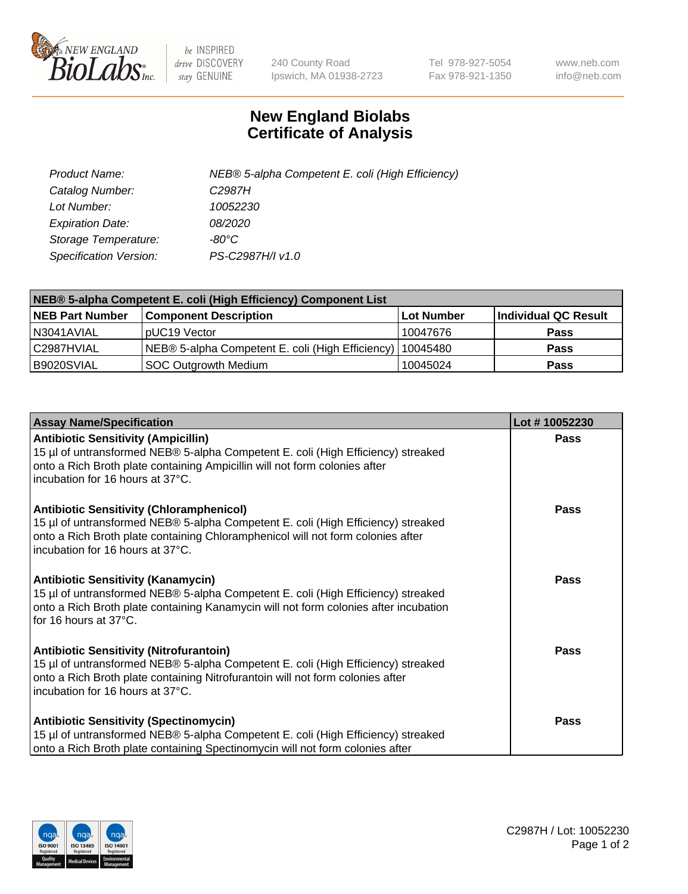

 $be$  INSPIRED drive DISCOVERY stay GENUINE

240 County Road Ipswich, MA 01938-2723 Tel 978-927-5054 Fax 978-921-1350 www.neb.com info@neb.com

## **New England Biolabs Certificate of Analysis**

| Product Name:           | NEB® 5-alpha Competent E. coli (High Efficiency) |
|-------------------------|--------------------------------------------------|
| Catalog Number:         | C <sub>2987</sub> H                              |
| Lot Number:             | 10052230                                         |
| <b>Expiration Date:</b> | <i>08/2020</i>                                   |
| Storage Temperature:    | -80°C                                            |
| Specification Version:  | PS-C2987H/I v1.0                                 |

| NEB® 5-alpha Competent E. coli (High Efficiency) Component List |                                                  |            |                      |  |
|-----------------------------------------------------------------|--------------------------------------------------|------------|----------------------|--|
| <b>NEB Part Number</b>                                          | <b>Component Description</b>                     | Lot Number | Individual QC Result |  |
| N3041AVIAL                                                      | pUC19 Vector                                     | 10047676   | <b>Pass</b>          |  |
| C2987HVIAL                                                      | NEB® 5-alpha Competent E. coli (High Efficiency) | 10045480   | <b>Pass</b>          |  |
| B9020SVIAL                                                      | <b>SOC Outgrowth Medium</b>                      | 10045024   | <b>Pass</b>          |  |

| <b>Assay Name/Specification</b>                                                                                                                                                                                                                            | Lot #10052230 |
|------------------------------------------------------------------------------------------------------------------------------------------------------------------------------------------------------------------------------------------------------------|---------------|
| <b>Antibiotic Sensitivity (Ampicillin)</b><br>15 µl of untransformed NEB® 5-alpha Competent E. coli (High Efficiency) streaked<br>onto a Rich Broth plate containing Ampicillin will not form colonies after<br>incubation for 16 hours at 37°C.           | Pass          |
| <b>Antibiotic Sensitivity (Chloramphenicol)</b><br>15 µl of untransformed NEB® 5-alpha Competent E. coli (High Efficiency) streaked<br>onto a Rich Broth plate containing Chloramphenicol will not form colonies after<br>incubation for 16 hours at 37°C. | Pass          |
| <b>Antibiotic Sensitivity (Kanamycin)</b><br>15 µl of untransformed NEB® 5-alpha Competent E. coli (High Efficiency) streaked<br>onto a Rich Broth plate containing Kanamycin will not form colonies after incubation<br>for 16 hours at 37°C.             | Pass          |
| <b>Antibiotic Sensitivity (Nitrofurantoin)</b><br>15 µl of untransformed NEB® 5-alpha Competent E. coli (High Efficiency) streaked<br>onto a Rich Broth plate containing Nitrofurantoin will not form colonies after<br>incubation for 16 hours at 37°C.   | <b>Pass</b>   |
| <b>Antibiotic Sensitivity (Spectinomycin)</b><br>15 µl of untransformed NEB® 5-alpha Competent E. coli (High Efficiency) streaked<br>onto a Rich Broth plate containing Spectinomycin will not form colonies after                                         | Pass          |